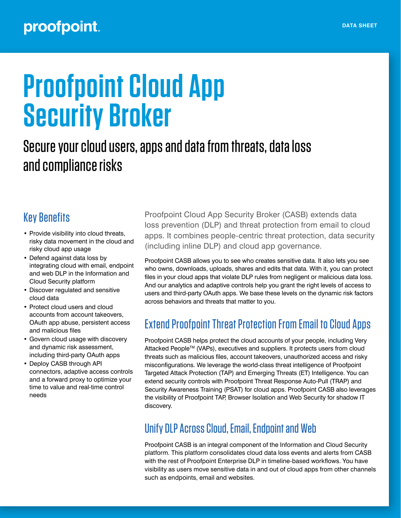### proofpoint.

# **Proofpoint Cloud App Security Broker**

## Secure your cloud users, apps and data from threats, data loss and compliance risks

#### Key Benefits

- Provide visibility into cloud threats, risky data movement in the cloud and risky cloud app usage
- Defend against data loss by integrating cloud with email, endpoint and web DLP in the Information and Cloud Security platform
- Discover regulated and sensitive cloud data
- Protect cloud users and cloud accounts from account takeovers, OAuth app abuse, persistent access and malicious files
- Govern cloud usage with discovery and dynamic risk assessment, including third-party OAuth apps
- Deploy CASB through API connectors, adaptive access controls and a forward proxy to optimize your time to value and real-time control needs

Proofpoint Cloud App Security Broker (CASB) extends data loss prevention (DLP) and threat protection from email to cloud apps. It combines people-centric threat protection, data security (including inline DLP) and cloud app governance.

Proofpoint CASB allows you to see who creates sensitive data. It also lets you see who owns, downloads, uploads, shares and edits that data. With it, you can protect files in your cloud apps that violate DLP rules from negligent or malicious data loss. And our analytics and adaptive controls help you grant the right levels of access to users and third-party OAuth apps. We base these levels on the dynamic risk factors across behaviors and threats that matter to you.

#### Extend Proofpoint Threat Protection From Email to Cloud Apps

Proofpoint CASB helps protect the cloud accounts of your people, including Very Attacked People™ (VAPs), executives and suppliers. It protects users from cloud threats such as malicious files, account takeovers, unauthorized access and risky misconfigurations. We leverage the world-class threat intelligence of Proofpoint Targeted Attack Protection (TAP) and Emerging Threats (ET) Intelligence. You can extend security controls with Proofpoint Threat Response Auto-Pull (TRAP) and Security Awareness Training (PSAT) for cloud apps. Proofpoint CASB also leverages the visibility of Proofpoint TAP, Browser Isolation and Web Security for shadow IT discovery.

#### Unify DLP Across Cloud, Email, Endpoint and Web

Proofpoint CASB is an integral component of the Information and Cloud Security platform. This platform consolidates cloud data loss events and alerts from CASB with the rest of Proofpoint Enterprise DLP in timeline-based workflows. You have visibility as users move sensitive data in and out of cloud apps from other channels such as endpoints, email and websites.